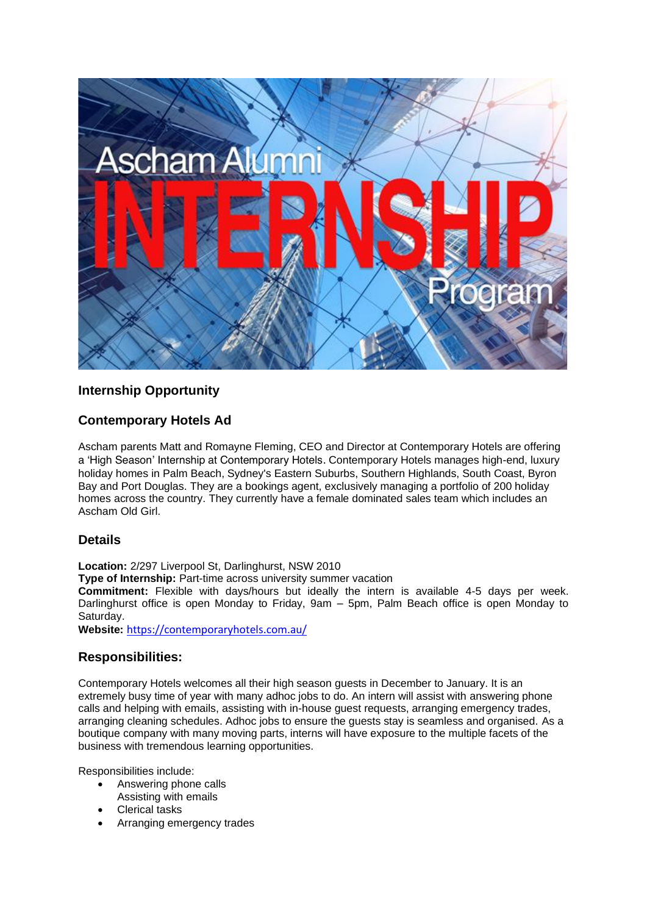

# **Internship Opportunity**

# **Contemporary Hotels Ad**

Ascham parents Matt and Romayne Fleming, CEO and Director at Contemporary Hotels are offering a 'High Season' Internship at Contemporary Hotels. Contemporary Hotels manages high-end, luxury holiday homes in Palm Beach, Sydney's Eastern Suburbs, Southern Highlands, South Coast, Byron Bay and Port Douglas. They are a bookings agent, exclusively managing a portfolio of 200 holiday homes across the country. They currently have a female dominated sales team which includes an Ascham Old Girl.

## **Details**

**Location:** 2/297 Liverpool St, Darlinghurst, NSW 2010

**Type of Internship:** Part-time across university summer vacation

**Commitment:** Flexible with days/hours but ideally the intern is available 4-5 days per week. Darlinghurst office is open Monday to Friday, 9am – 5pm, Palm Beach office is open Monday to Saturday.

**Website:** <https://contemporaryhotels.com.au/>

## **Responsibilities:**

Contemporary Hotels welcomes all their high season guests in December to January. It is an extremely busy time of year with many adhoc jobs to do. An intern will assist with answering phone calls and helping with emails, assisting with in-house guest requests, arranging emergency trades, arranging cleaning schedules. Adhoc jobs to ensure the guests stay is seamless and organised. As a boutique company with many moving parts, interns will have exposure to the multiple facets of the business with tremendous learning opportunities.

Responsibilities include:

- Answering phone calls
- Assisting with emails
- Clerical tasks
- Arranging emergency trades